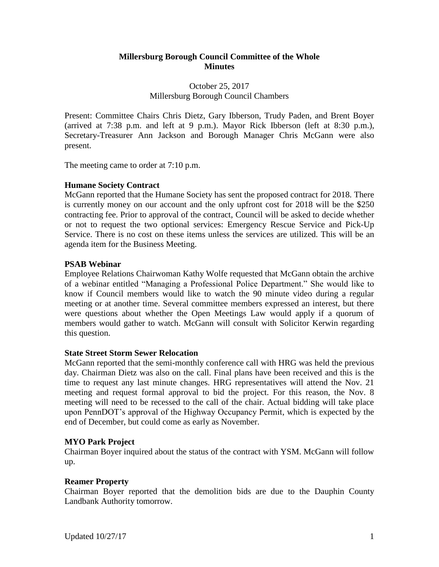## **Millersburg Borough Council Committee of the Whole Minutes**

## October 25, 2017 Millersburg Borough Council Chambers

Present: Committee Chairs Chris Dietz, Gary Ibberson, Trudy Paden, and Brent Boyer (arrived at 7:38 p.m. and left at 9 p.m.). Mayor Rick Ibberson (left at 8:30 p.m.), Secretary-Treasurer Ann Jackson and Borough Manager Chris McGann were also present.

The meeting came to order at 7:10 p.m.

## **Humane Society Contract**

McGann reported that the Humane Society has sent the proposed contract for 2018. There is currently money on our account and the only upfront cost for 2018 will be the \$250 contracting fee. Prior to approval of the contract, Council will be asked to decide whether or not to request the two optional services: Emergency Rescue Service and Pick-Up Service. There is no cost on these items unless the services are utilized. This will be an agenda item for the Business Meeting.

## **PSAB Webinar**

Employee Relations Chairwoman Kathy Wolfe requested that McGann obtain the archive of a webinar entitled "Managing a Professional Police Department." She would like to know if Council members would like to watch the 90 minute video during a regular meeting or at another time. Several committee members expressed an interest, but there were questions about whether the Open Meetings Law would apply if a quorum of members would gather to watch. McGann will consult with Solicitor Kerwin regarding this question.

#### **State Street Storm Sewer Relocation**

McGann reported that the semi-monthly conference call with HRG was held the previous day. Chairman Dietz was also on the call. Final plans have been received and this is the time to request any last minute changes. HRG representatives will attend the Nov. 21 meeting and request formal approval to bid the project. For this reason, the Nov. 8 meeting will need to be recessed to the call of the chair. Actual bidding will take place upon PennDOT's approval of the Highway Occupancy Permit, which is expected by the end of December, but could come as early as November.

#### **MYO Park Project**

Chairman Boyer inquired about the status of the contract with YSM. McGann will follow up.

#### **Reamer Property**

Chairman Boyer reported that the demolition bids are due to the Dauphin County Landbank Authority tomorrow.